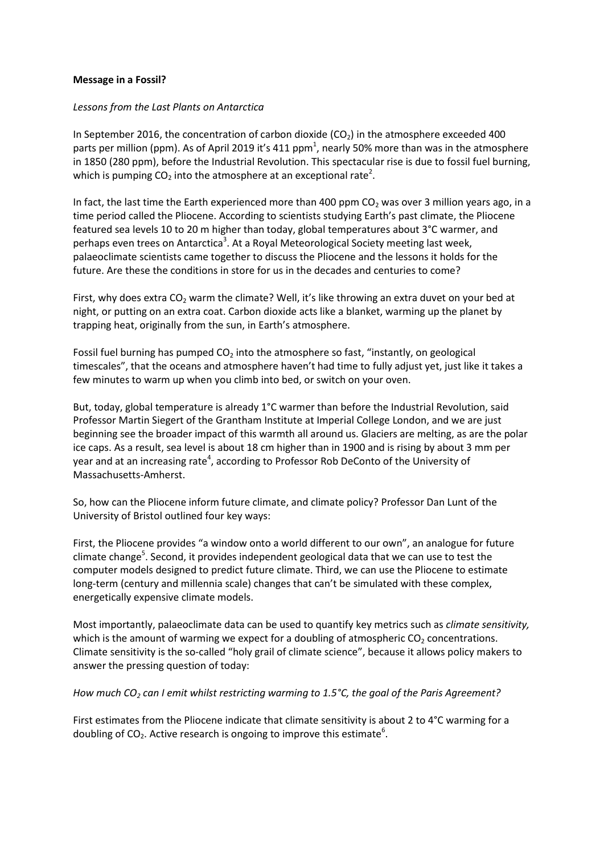## **Message in a Fossil?**

## *Lessons from the Last Plants on Antarctica*

In September 2016, the concentration of carbon dioxide  $(CO<sub>2</sub>)$  in the atmosphere exceeded 400 parts per million (ppm). As of April 2019 it's 411 ppm<sup>1</sup>, nearly 50% more than was in the atmosphere in 1850 (280 ppm), before the Industrial Revolution. This spectacular rise is due to fossil fuel burning, which is pumping CO<sub>2</sub> into the atmosphere at an exceptional rate<sup>2</sup>.

In fact, the last time the Earth experienced more than 400 ppm  $CO<sub>2</sub>$  was over 3 million years ago, in a time period called the Pliocene. According to scientists studying Earth's past climate, the Pliocene featured sea levels 10 to 20 m higher than today, global temperatures about 3°C warmer, and perhaps even trees on Antarctica<sup>3</sup>. At a Royal Meteorological Society meeting last week, palaeoclimate scientists came together to discuss the Pliocene and the lessons it holds for the future. Are these the conditions in store for us in the decades and centuries to come?

First, why does extra  $CO<sub>2</sub>$  warm the climate? Well, it's like throwing an extra duvet on your bed at night, or putting on an extra coat. Carbon dioxide acts like a blanket, warming up the planet by trapping heat, originally from the sun, in Earth's atmosphere.

Fossil fuel burning has pumped  $CO<sub>2</sub>$  into the atmosphere so fast, "instantly, on geological timescales", that the oceans and atmosphere haven't had time to fully adjust yet, just like it takes a few minutes to warm up when you climb into bed, or switch on your oven.

But, today, global temperature is already 1°C warmer than before the Industrial Revolution, said Professor Martin Siegert of the Grantham Institute at Imperial College London, and we are just beginning see the broader impact of this warmth all around us. Glaciers are melting, as are the polar ice caps. As a result, sea level is about 18 cm higher than in 1900 and is rising by about 3 mm per year and at an increasing rate<sup>4</sup>, according to Professor Rob DeConto of the University of Massachusetts-Amherst.

So, how can the Pliocene inform future climate, and climate policy? Professor Dan Lunt of the University of Bristol outlined four key ways:

First, the Pliocene provides "a window onto a world different to our own", an analogue for future climate change<sup>5</sup>. Second, it provides independent geological data that we can use to test the computer models designed to predict future climate. Third, we can use the Pliocene to estimate long-term (century and millennia scale) changes that can't be simulated with these complex, energetically expensive climate models.

Most importantly, palaeoclimate data can be used to quantify key metrics such as *climate sensitivity,*  which is the amount of warming we expect for a doubling of atmospheric  $CO<sub>2</sub>$  concentrations. Climate sensitivity is the so-called "holy grail of climate science", because it allows policy makers to answer the pressing question of today:

## *How much CO<sup>2</sup> can I emit whilst restricting warming to 1.5°C, the goal of the Paris Agreement?*

First estimates from the Pliocene indicate that climate sensitivity is about 2 to 4°C warming for a doubling of CO<sub>2</sub>. Active research is ongoing to improve this estimate<sup>6</sup>.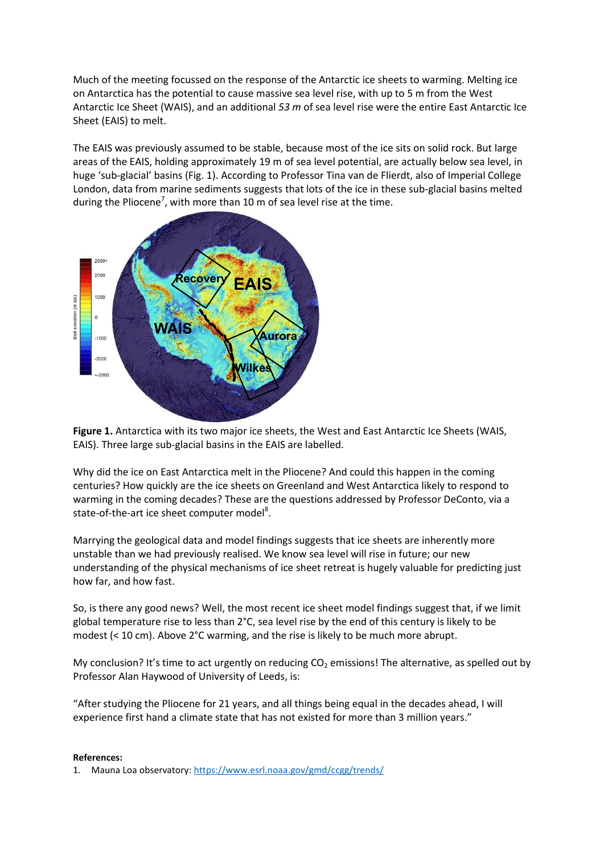Much of the meeting focussed on the response of the Antarctic ice sheets to warming. Melting ice on Antarctica has the potential to cause massive sea level rise, with up to 5 m from the West Antarctic Ice Sheet (WAIS), and an additional *53 m* of sea level rise were the entire East Antarctic Ice Sheet (EAIS) to melt.

The EAIS was previously assumed to be stable, because most of the ice sits on solid rock. But large areas of the EAIS, holding approximately 19 m of sea level potential, are actually below sea level, in huge 'sub-glacial' basins (Fig. 1). According to Professor Tina van de Flierdt, also of Imperial College London, data from marine sediments suggests that lots of the ice in these sub-glacial basins melted during the Pliocene<sup>7</sup>, with more than 10 m of sea level rise at the time.



**Figure 1.** Antarctica with its two major ice sheets, the West and East Antarctic Ice Sheets (WAIS, EAIS). Three large sub-glacial basins in the EAIS are labelled.

Why did the ice on East Antarctica melt in the Pliocene? And could this happen in the coming centuries? How quickly are the ice sheets on Greenland and West Antarctica likely to respond to warming in the coming decades? These are the questions addressed by Professor DeConto, via a state-of-the-art ice sheet computer model<sup>8</sup>.

Marrying the geological data and model findings suggests that ice sheets are inherently more unstable than we had previously realised. We know sea level will rise in future; our new understanding of the physical mechanisms of ice sheet retreat is hugely valuable for predicting just how far, and how fast.

So, is there any good news? Well, the most recent ice sheet model findings suggest that, if we limit global temperature rise to less than 2°C, sea level rise by the end of this century is likely to be modest (< 10 cm). Above 2°C warming, and the rise is likely to be much more abrupt.

My conclusion? It's time to act urgently on reducing  $CO<sub>2</sub>$  emissions! The alternative, as spelled out by Professor Alan Haywood of University of Leeds, is:

"After studying the Pliocene for 21 years, and all things being equal in the decades ahead, I will experience first hand a climate state that has not existed for more than 3 million years."

## **References:**

1. Mauna Loa observatory:<https://www.esrl.noaa.gov/gmd/ccgg/trends/>